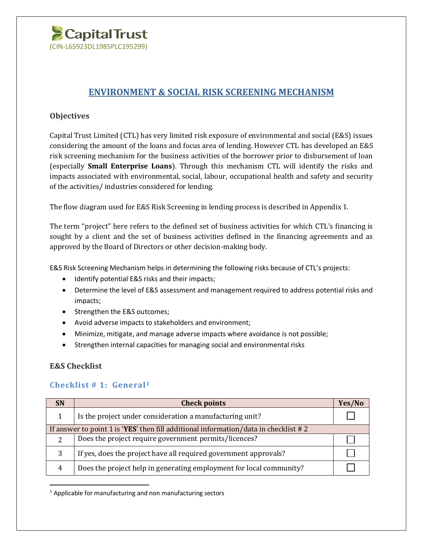

## **ENVIRONMENT & SOCIAL RISK SCREENING MECHANISM**

## **Objectives**

Capital Trust Limited (CTL) has very limited risk exposure of environmental and social (E&S) issues considering the amount of the loans and focus area of lending. However CTL has developed an E&S risk screening mechanism for the business activities of the borrower prior to disbursement of loan (especially **Small Enterprise Loans**). Through this mechanism CTL will identify the risks and impacts associated with environmental, social, labour, occupational health and safety and security of the activities/ industries considered for lending.

The flow diagram used for E&S Risk Screening in lending process is described in Appendix 1.

The term "project" here refers to the defined set of business activities for which CTL's financing is sought by a client and the set of business activities defined in the financing agreements and as approved by the Board of Directors or other decision-making body.

E&S Risk Screening Mechanism helps in determining the following risks because of CTL's projects:

- Identify potential E&S risks and their impacts;
- Determine the level of E&S assessment and management required to address potential risks and impacts;
- Strengthen the E&S outcomes;
- Avoid adverse impacts to stakeholders and environment;
- Minimize, mitigate, and manage adverse impacts where avoidance is not possible;
- Strengthen internal capacities for managing social and environmental risks

### **E&S Checklist**

 $\overline{\phantom{a}}$ 

### **Checklist # 1: General<sup>1</sup>**

| <b>SN</b>                                                                           | <b>Check points</b>                                                 | Yes/No |
|-------------------------------------------------------------------------------------|---------------------------------------------------------------------|--------|
|                                                                                     | Is the project under consideration a manufacturing unit?            |        |
| If answer to point 1 is 'YES' then fill additional information/data in checklist #2 |                                                                     |        |
| $\mathcal{D}$                                                                       | Does the project require government permits/licences?               |        |
| 3                                                                                   | If yes, does the project have all required government approvals?    |        |
| 4                                                                                   | Does the project help in generating employment for local community? |        |

 $1$  Applicable for manufacturing and non manufacturing sectors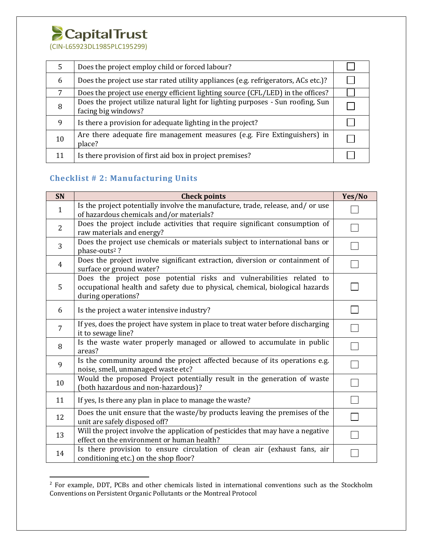# CapitalTrust

(CIN-L65923DL1985PLC195299)

| 5  | Does the project employ child or forced labour?                                                        |  |
|----|--------------------------------------------------------------------------------------------------------|--|
| 6  | Does the project use star rated utility appliances (e.g. refrigerators, ACs etc.)?                     |  |
| 7  | Does the project use energy efficient lighting source (CFL/LED) in the offices?                        |  |
| 8  | Does the project utilize natural light for lighting purposes - Sun roofing, Sun<br>facing big windows? |  |
| 9  | Is there a provision for adequate lighting in the project?                                             |  |
| 10 | Are there adequate fire management measures (e.g. Fire Extinguishers) in<br>place?                     |  |
| 11 | Is there provision of first aid box in project premises?                                               |  |

## **Checklist # 2: Manufacturing Units**

 $\overline{a}$ 

| SN             | <b>Check points</b>                                                                                                                                                        | Yes/No         |
|----------------|----------------------------------------------------------------------------------------------------------------------------------------------------------------------------|----------------|
| $\mathbf{1}$   | Is the project potentially involve the manufacture, trade, release, and/or use<br>of hazardous chemicals and/or materials?                                                 |                |
| $\overline{2}$ | Does the project include activities that require significant consumption of<br>raw materials and energy?                                                                   |                |
| 3              | Does the project use chemicals or materials subject to international bans or<br>phase-outs <sup>2</sup> ?                                                                  |                |
| $\overline{4}$ | Does the project involve significant extraction, diversion or containment of<br>surface or ground water?                                                                   |                |
| 5              | Does the project pose potential risks and vulnerabilities related to<br>occupational health and safety due to physical, chemical, biological hazards<br>during operations? |                |
| 6              | Is the project a water intensive industry?                                                                                                                                 |                |
| $\overline{7}$ | If yes, does the project have system in place to treat water before discharging<br>it to sewage line?                                                                      |                |
| 8              | Is the waste water properly managed or allowed to accumulate in public<br>areas?                                                                                           |                |
| 9              | Is the community around the project affected because of its operations e.g.<br>noise, smell, unmanaged waste etc?                                                          |                |
| 10             | Would the proposed Project potentially result in the generation of waste<br>(both hazardous and non-hazardous)?                                                            |                |
| 11             | If yes, Is there any plan in place to manage the waste?                                                                                                                    | $\mathbb{R}^n$ |
| 12             | Does the unit ensure that the waste/by products leaving the premises of the<br>unit are safely disposed off?                                                               |                |
| 13             | Will the project involve the application of pesticides that may have a negative<br>effect on the environment or human health?                                              |                |
| 14             | Is there provision to ensure circulation of clean air (exhaust fans, air<br>conditioning etc.) on the shop floor?                                                          |                |

<sup>&</sup>lt;sup>2</sup> For example, DDT, PCBs and other chemicals listed in international conventions such as the Stockholm Conventions on Persistent Organic Pollutants or the Montreal Protocol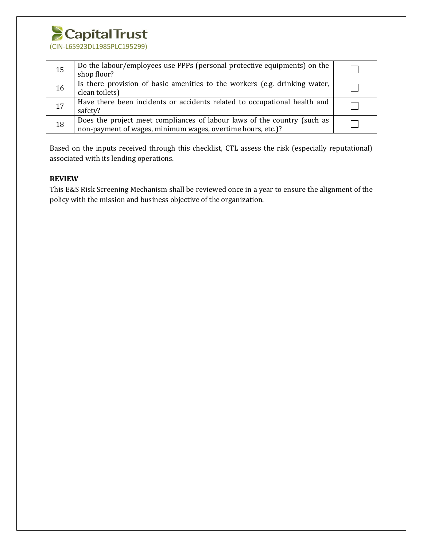

| 15 | Do the labour/employees use PPPs (personal protective equipments) on the<br>shop floor?                                                 |  |
|----|-----------------------------------------------------------------------------------------------------------------------------------------|--|
| 16 | Is there provision of basic amenities to the workers (e.g. drinking water,<br>clean toilets)                                            |  |
| 17 | Have there been incidents or accidents related to occupational health and<br>safety?                                                    |  |
| 18 | Does the project meet compliances of labour laws of the country (such as<br>non-payment of wages, minimum wages, overtime hours, etc.)? |  |

Based on the inputs received through this checklist, CTL assess the risk (especially reputational) associated with its lending operations.

#### **REVIEW**

This E&S Risk Screening Mechanism shall be reviewed once in a year to ensure the alignment of the policy with the mission and business objective of the organization.